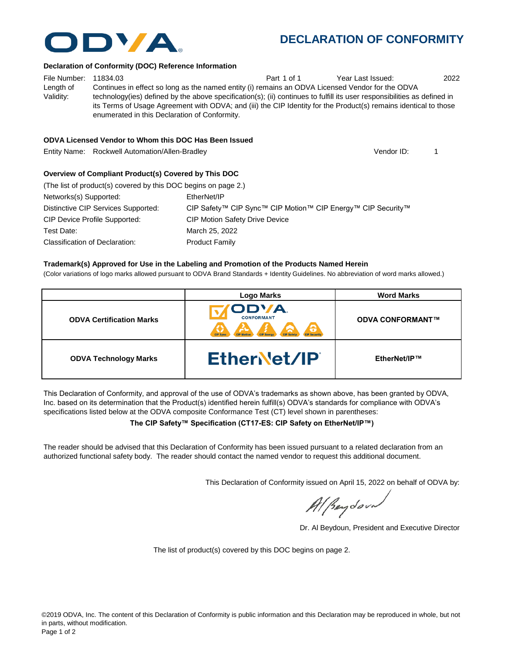# **DECLARATION OF CONFORMITY**

#### **Declaration of Conformity (DOC) Reference Information**

File Number: 11834.03 Part 1 of 1 Year Last Issued: 2022 Length of Validity: Continues in effect so long as the named entity (i) remains an ODVA Licensed Vendor for the ODVA technology(ies) defined by the above specification(s); (ii) continues to fulfill its user responsibilities as defined in its Terms of Usage Agreement with ODVA; and (iii) the CIP Identity for the Product(s) remains identical to those enumerated in this Declaration of Conformity.

### **ODVA Licensed Vendor to Whom this DOC Has Been Issued**

Entity Name: Rockwell Automation/Allen-Bradley 1

### **Overview of Compliant Product(s) Covered by This DOC**

| (The list of product(s) covered by this DOC begins on page 2.) |                                                             |
|----------------------------------------------------------------|-------------------------------------------------------------|
| Networks(s) Supported:                                         | EtherNet/IP                                                 |
| Distinctive CIP Services Supported:                            | CIP Safety™ CIP Sync™ CIP Motion™ CIP Energy™ CIP Security™ |
| CIP Device Profile Supported:                                  | <b>CIP Motion Safety Drive Device</b>                       |
| Test Date:                                                     | March 25, 2022                                              |
| Classification of Declaration:                                 | <b>Product Family</b>                                       |
|                                                                |                                                             |

#### **Trademark(s) Approved for Use in the Labeling and Promotion of the Products Named Herein**

(Color variations of logo marks allowed pursuant to ODVA Brand Standards + Identity Guidelines. No abbreviation of word marks allowed.)

|                                 | <b>Logo Marks</b>                                                                             | <b>Word Marks</b>       |  |
|---------------------------------|-----------------------------------------------------------------------------------------------|-------------------------|--|
| <b>ODVA Certification Marks</b> | ODVA.<br><b>CONFORMANT</b><br>Э<br><b>CIP Sync</b><br><b>CIP Motion</b><br><b>CIP Securit</b> | <b>ODVA CONFORMANT™</b> |  |
| <b>ODVA Technology Marks</b>    | EtherNet/IP                                                                                   | EtherNet/IP™            |  |

This Declaration of Conformity, and approval of the use of ODVA's trademarks as shown above, has been granted by ODVA, Inc. based on its determination that the Product(s) identified herein fulfill(s) ODVA's standards for compliance with ODVA's specifications listed below at the ODVA composite Conformance Test (CT) level shown in parentheses:

#### **The CIP Safety™ Specification (CT17-ES: CIP Safety on EtherNet/IP™)**

The reader should be advised that this Declaration of Conformity has been issued pursuant to a related declaration from an authorized functional safety body. The reader should contact the named vendor to request this additional document.

This Declaration of Conformity issued on April 15, 2022 on behalf of ODVA by:

Al Beydoor

Dr. Al Beydoun, President and Executive Director

The list of product(s) covered by this DOC begins on page 2.



Vendor ID: